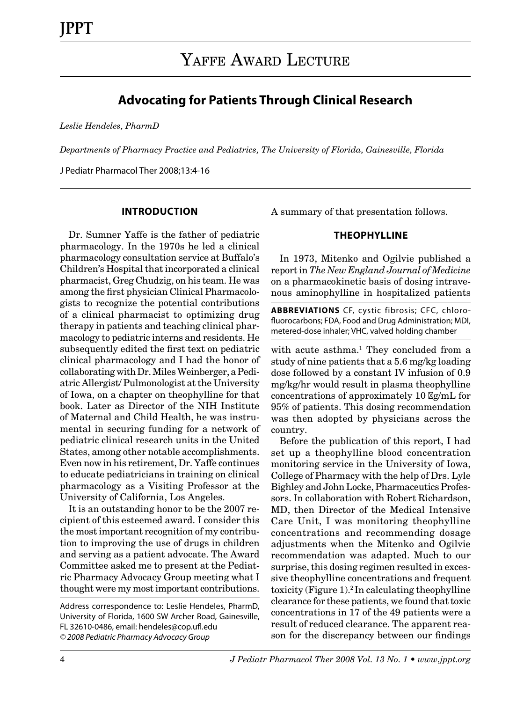# **Advocating for Patients Through Clinical Research**

*Leslie Hendeles, PharmD*

*Departments of Pharmacy Practice and Pediatrics, The University of Florida, Gainesville, Florida*

J Pediatr Pharmacol Ther 2008;13:4-16

#### **INTRODUCTION**

Dr. Sumner Yaffe is the father of pediatric pharmacology. In the 1970s he led a clinical pharmacology consultation service at Buffalo's Children's Hospital that incorporated a clinical pharmacist, Greg Chudzig, on his team. He was among the first physician Clinical Pharmacologists to recognize the potential contributions of a clinical pharmacist to optimizing drug therapy in patients and teaching clinical pharmacology to pediatric interns and residents. He subsequently edited the first text on pediatric clinical pharmacology and I had the honor of collaborating with Dr. Miles Weinberger, a Pediatric Allergist/ Pulmonologist at the University of Iowa, on a chapter on theophylline for that book. Later as Director of the NIH Institute of Maternal and Child Health, he was instrumental in securing funding for a network of pediatric clinical research units in the United States, among other notable accomplishments. Even now in his retirement, Dr. Yaffe continues to educate pediatricians in training on clinical pharmacology as a Visiting Professor at the University of California, Los Angeles.

It is an outstanding honor to be the 2007 recipient of this esteemed award. I consider this the most important recognition of my contribution to improving the use of drugs in children and serving as a patient advocate. The Award Committee asked me to present at the Pediatric Pharmacy Advocacy Group meeting what I thought were my most important contributions.

A summary of that presentation follows.

#### **THEOPHYLLINE**

In 1973, Mitenko and Ogilvie published a report in *The New England Journal of Medicine* on a pharmacokinetic basis of dosing intravenous aminophylline in hospitalized patients

**ABBREVIATIONS** CF, cystic fibrosis; CFC, chlorofluorocarbons; FDA, Food and Drug Administration; MDI, metered-dose inhaler; VHC, valved holding chamber

with acute asthma.<sup>1</sup> They concluded from a study of nine patients that a 5.6 mg/kg loading dose followed by a constant IV infusion of 0.9 mg/kg/hr would result in plasma theophylline concentrations of approximately 10  $\log/mL$  for 95% of patients. This dosing recommendation was then adopted by physicians across the country.

Before the publication of this report, I had set up a theophylline blood concentration monitoring service in the University of Iowa, College of Pharmacy with the help of Drs. Lyle Bighley and John Locke, Pharmaceutics Professors. In collaboration with Robert Richardson, MD, then Director of the Medical Intensive Care Unit, I was monitoring theophylline concentrations and recommending dosage adjustments when the Mitenko and Ogilvie recommendation was adapted. Much to our surprise, this dosing regimen resulted in excessive theophylline concentrations and frequent toxicity (Figure  $1$ ).<sup>2</sup> In calculating theophylline clearance for these patients, we found that toxic concentrations in 17 of the 49 patients were a result of reduced clearance. The apparent reason for the discrepancy between our findings

Address correspondence to: Leslie Hendeles, PharmD, University of Florida, 1600 SW Archer Road, Gainesville, FL 32610-0486, email: hendeles@cop.ufl.edu *© 2008 Pediatric Pharmacy Advocacy Group*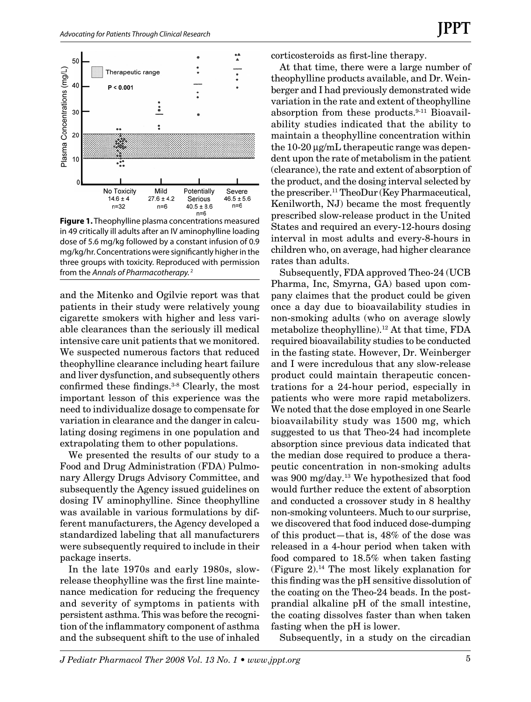

**Figure 1.** Theophylline plasma concentrations measured in 49 critically ill adults after an IV aminophylline loading dose of 5.6 mg/kg followed by a constant infusion of 0.9 mg/kg/hr. Concentrations were significantly higher in the three groups with toxicity. Reproduced with permission from the *Annals of Pharmacotherapy.* 2

and the Mitenko and Ogilvie report was that patients in their study were relatively young cigarette smokers with higher and less variable clearances than the seriously ill medical intensive care unit patients that we monitored. We suspected numerous factors that reduced theophylline clearance including heart failure and liver dysfunction, and subsequently others confirmed these findings.3-8 Clearly, the most important lesson of this experience was the need to individualize dosage to compensate for variation in clearance and the danger in calculating dosing regimens in one population and extrapolating them to other populations.

We presented the results of our study to a Food and Drug Administration (FDA) Pulmonary Allergy Drugs Advisory Committee, and subsequently the Agency issued guidelines on dosing IV aminophylline. Since theophylline was available in various formulations by different manufacturers, the Agency developed a standardized labeling that all manufacturers were subsequently required to include in their package inserts.

In the late 1970s and early 1980s, slowrelease theophylline was the first line maintenance medication for reducing the frequency and severity of symptoms in patients with persistent asthma. This was before the recognition of the inflammatory component of asthma and the subsequent shift to the use of inhaled corticosteroids as first-line therapy.

At that time, there were a large number of theophylline products available, and Dr. Weinberger and I had previously demonstrated wide variation in the rate and extent of theophylline absorption from these products.9-11 Bioavailability studies indicated that the ability to maintain a theophylline concentration within the 10-20 µg/mL therapeutic range was dependent upon the rate of metabolism in the patient (clearance), the rate and extent of absorption of the product, and the dosing interval selected by the prescriber.11 TheoDur (Key Pharmaceutical, Kenilworth, NJ) became the most frequently prescribed slow-release product in the United States and required an every-12-hours dosing interval in most adults and every-8-hours in children who, on average, had higher clearance rates than adults.

Subsequently, FDA approved Theo-24 (UCB Pharma, Inc, Smyrna, GA) based upon company claimes that the product could be given once a day due to bioavailability studies in non-smoking adults (who on average slowly metabolize theophylline).12 At that time, FDA required bioavailability studies to be conducted in the fasting state. However, Dr. Weinberger and I were incredulous that any slow-release product could maintain therapeutic concentrations for a 24-hour period, especially in patients who were more rapid metabolizers. We noted that the dose employed in one Searle bioavailability study was 1500 mg, which suggested to us that Theo-24 had incomplete absorption since previous data indicated that the median dose required to produce a therapeutic concentration in non-smoking adults was 900 mg/day.13 We hypothesized that food would further reduce the extent of absorption and conducted a crossover study in 8 healthy non-smoking volunteers. Much to our surprise, we discovered that food induced dose-dumping of this product—that is, 48% of the dose was released in a 4-hour period when taken with food compared to 18.5% when taken fasting (Figure 2).14 The most likely explanation for this finding was the pH sensitive dissolution of the coating on the Theo-24 beads. In the postprandial alkaline pH of the small intestine, the coating dissolves faster than when taken fasting when the pH is lower.

Subsequently, in a study on the circadian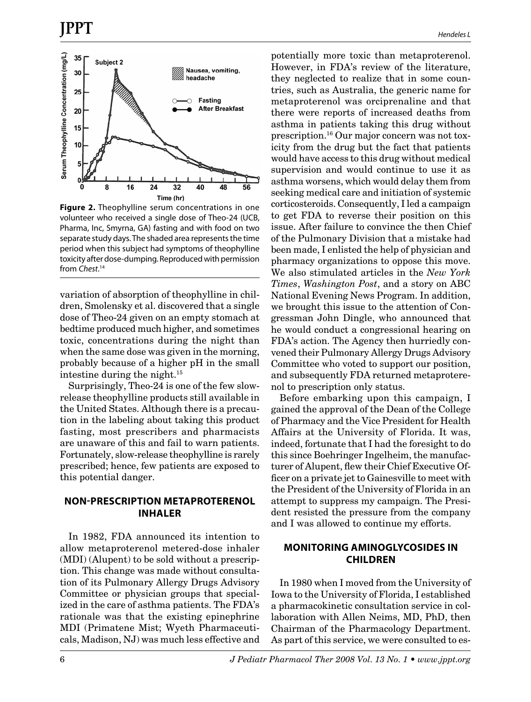

**Figure 2.** Theophylline serum concentrations in one volunteer who received a single dose of Theo-24 (UCB, Pharma, Inc, Smyrna, GA) fasting and with food on two separate study days. The shaded area represents the time period when this subject had symptoms of theophylline toxicity after dose-dumping. Reproduced with permission from *Chest*. 14

variation of absorption of theophylline in children, Smolensky et al. discovered that a single dose of Theo-24 given on an empty stomach at bedtime produced much higher, and sometimes toxic, concentrations during the night than when the same dose was given in the morning, probably because of a higher pH in the small intestine during the night.15

Surprisingly, Theo-24 is one of the few slowrelease theophylline products still available in the United States. Although there is a precaution in the labeling about taking this product fasting, most prescribers and pharmacists are unaware of this and fail to warn patients. Fortunately, slow-release theophylline is rarely prescribed; hence, few patients are exposed to this potential danger.

### **NON-PRESCRIPTION METAPROTERENOL INHALER**

In 1982, FDA announced its intention to allow metaproterenol metered-dose inhaler (MDI) (Alupent) to be sold without a prescription. This change was made without consultation of its Pulmonary Allergy Drugs Advisory Committee or physician groups that specialized in the care of asthma patients. The FDA's rationale was that the existing epinephrine MDI (Primatene Mist; Wyeth Pharmaceuticals, Madison, NJ) was much less effective and potentially more toxic than metaproterenol. However, in FDA's review of the literature, they neglected to realize that in some countries, such as Australia, the generic name for metaproterenol was orciprenaline and that there were reports of increased deaths from asthma in patients taking this drug without prescription.16 Our major concern was not toxicity from the drug but the fact that patients would have access to this drug without medical supervision and would continue to use it as asthma worsens, which would delay them from seeking medical care and initiation of systemic corticosteroids. Consequently, I led a campaign to get FDA to reverse their position on this issue. After failure to convince the then Chief of the Pulmonary Division that a mistake had been made, I enlisted the help of physician and pharmacy organizations to oppose this move. We also stimulated articles in the *New York Times*, *Washington Post*, and a story on ABC National Evening News Program. In addition, we brought this issue to the attention of Congressman John Dingle, who announced that he would conduct a congressional hearing on FDA's action. The Agency then hurriedly convened their Pulmonary Allergy Drugs Advisory Committee who voted to support our position, and subsequently FDA returned metaproterenol to prescription only status.

Before embarking upon this campaign, I gained the approval of the Dean of the College of Pharmacy and the Vice President for Health Affairs at the University of Florida. It was, indeed, fortunate that I had the foresight to do this since Boehringer Ingelheim, the manufacturer of Alupent, flew their Chief Executive Officer on a private jet to Gainesville to meet with the President of the University of Florida in an attempt to suppress my campaign. The President resisted the pressure from the company and I was allowed to continue my efforts.

### **MONITORING AMINOGLYCOSIDES IN CHILDREN**

In 1980 when I moved from the University of Iowa to the University of Florida, I established a pharmacokinetic consultation service in collaboration with Allen Neims, MD, PhD, then Chairman of the Pharmacology Department. As part of this service, we were consulted to es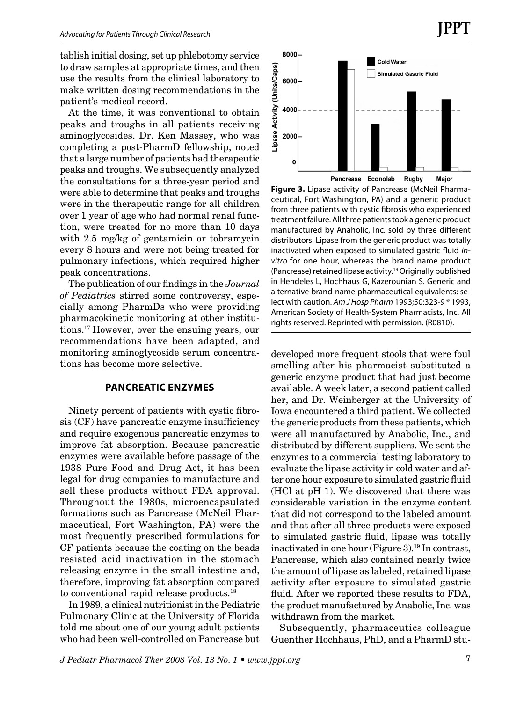tablish initial dosing, set up phlebotomy service to draw samples at appropriate times, and then use the results from the clinical laboratory to make written dosing recommendations in the patient's medical record.

At the time, it was conventional to obtain peaks and troughs in all patients receiving aminoglycosides. Dr. Ken Massey, who was completing a post-PharmD fellowship, noted that a large number of patients had therapeutic peaks and troughs. We subsequently analyzed the consultations for a three-year period and were able to determine that peaks and troughs were in the therapeutic range for all children over 1 year of age who had normal renal function, were treated for no more than 10 days with 2.5 mg/kg of gentamicin or tobramycin every 8 hours and were not being treated for pulmonary infections, which required higher peak concentrations.

The publication of our findings in the *Journal of Pediatrics* stirred some controversy, especially among PharmDs who were providing pharmacokinetic monitoring at other institutions.17 However, over the ensuing years, our recommendations have been adapted, and monitoring aminoglycoside serum concentrations has become more selective.

#### **PANCREATIC ENZYMES**

Ninety percent of patients with cystic fibrosis (CF) have pancreatic enzyme insufficiency and require exogenous pancreatic enzymes to improve fat absorption. Because pancreatic enzymes were available before passage of the 1938 Pure Food and Drug Act, it has been legal for drug companies to manufacture and sell these products without FDA approval. Throughout the 1980s, microencapsulated formations such as Pancrease (McNeil Pharmaceutical, Fort Washington, PA) were the most frequently prescribed formulations for CF patients because the coating on the beads resisted acid inactivation in the stomach releasing enzyme in the small intestine and, therefore, improving fat absorption compared to conventional rapid release products.<sup>18</sup>

In 1989, a clinical nutritionist in the Pediatric Pulmonary Clinic at the University of Florida told me about one of our young adult patients who had been well-controlled on Pancrease but



**JPPT**

**Figure 3.** Lipase activity of Pancrease (McNeil Pharmaceutical, Fort Washington, PA) and a generic product from three patients with cystic fibrosis who experienced treatment failure. All three patients took a generic product manufactured by Anaholic, Inc. sold by three different distributors. Lipase from the generic product was totally inactivated when exposed to simulated gastric fluid *invitro* for one hour, whereas the brand name product (Pancrease) retained lipase activity.19 Originally published in Hendeles L, Hochhaus G, Kazerounian S. Generic and alternative brand-name pharmaceutical equivalents: select with caution. *Am J Hosp Pharm* 1993;50:323-9 © 1993, American Society of Health-System Pharmacists, Inc. All rights reserved. Reprinted with permission. (R0810).

developed more frequent stools that were foul smelling after his pharmacist substituted a generic enzyme product that had just become available. A week later, a second patient called her, and Dr. Weinberger at the University of Iowa encountered a third patient. We collected the generic products from these patients, which were all manufactured by Anabolic, Inc., and distributed by different suppliers. We sent the enzymes to a commercial testing laboratory to evaluate the lipase activity in cold water and after one hour exposure to simulated gastric fluid (HCl at pH 1). We discovered that there was considerable variation in the enzyme content that did not correspond to the labeled amount and that after all three products were exposed to simulated gastric fluid, lipase was totally inactivated in one hour (Figure 3).<sup>19</sup> In contrast, Pancrease, which also contained nearly twice the amount of lipase as labeled, retained lipase activity after exposure to simulated gastric fluid. After we reported these results to FDA, the product manufactured by Anabolic, Inc. was withdrawn from the market.

Subsequently, pharmaceutics colleague Guenther Hochhaus, PhD, and a PharmD stu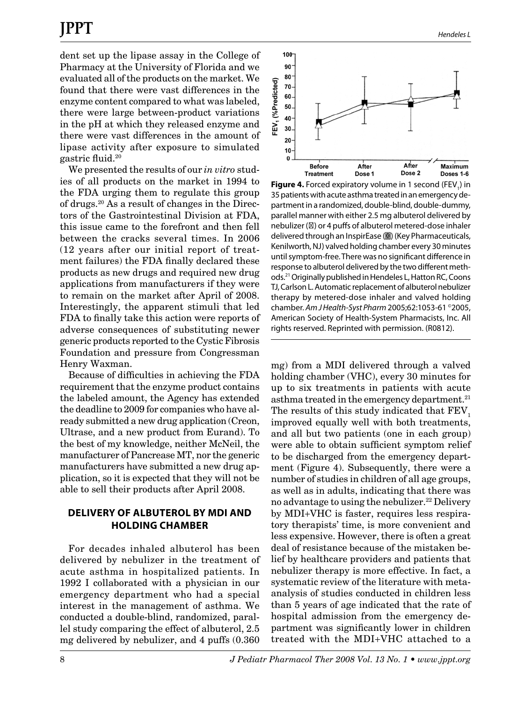dent set up the lipase assay in the College of Pharmacy at the University of Florida and we evaluated all of the products on the market. We found that there were vast differences in the enzyme content compared to what was labeled, there were large between-product variations in the pH at which they released enzyme and there were vast differences in the amount of lipase activity after exposure to simulated gastric fluid.20

We presented the results of our *in vitro* studies of all products on the market in 1994 to the FDA urging them to regulate this group of drugs.20 As a result of changes in the Directors of the Gastrointestinal Division at FDA, this issue came to the forefront and then fell between the cracks several times. In 2006 (12 years after our initial report of treatment failures) the FDA finally declared these products as new drugs and required new drug applications from manufacturers if they were to remain on the market after April of 2008. Interestingly, the apparent stimuli that led FDA to finally take this action were reports of adverse consequences of substituting newer generic products reported to the Cystic Fibrosis Foundation and pressure from Congressman Henry Waxman.

Because of difficulties in achieving the FDA requirement that the enzyme product contains the labeled amount, the Agency has extended the deadline to 2009 for companies who have already submitted a new drug application (Creon, Ultrase, and a new product from Eurand). To the best of my knowledge, neither McNeil, the manufacturer of Pancrease MT, nor the generic manufacturers have submitted a new drug application, so it is expected that they will not be able to sell their products after April 2008.

### **DELIVERY OF ALBUTEROL BY MDI AND HOLDING CHAMBER**

For decades inhaled albuterol has been delivered by nebulizer in the treatment of acute asthma in hospitalized patients. In 1992 I collaborated with a physician in our emergency department who had a special interest in the management of asthma. We conducted a double-blind, randomized, parallel study comparing the effect of albuterol, 2.5 mg delivered by nebulizer, and 4 puffs (0.360



**Figure 4.** Forced expiratory volume in 1 second (FEV<sub>1</sub>) in 35 patients with acute asthma treated in an emergency department in a randomized, double-blind, double-dummy, parallel manner with either 2.5 mg albuterol delivered by nebulizer ( ) or 4 puffs of albuterol metered-dose inhaler delivered through an InspirEase () (Key Pharmaceuticals, Kenilworth, NJ) valved holding chamber every 30 minutes until symptom-free. There was no significant difference in response to albuterol delivered by the two different methods.21 Originally published in Hendeles L, Hatton RC, Coons TJ, Carlson L. Automatic replacement of albuterol nebulizer therapy by metered-dose inhaler and valved holding chamber. *Am J Health-Syst Pharm* 2005;62:1053-61 ©2005, American Society of Health-System Pharmacists, Inc. All rights reserved. Reprinted with permission. (R0812).

mg) from a MDI delivered through a valved holding chamber (VHC), every 30 minutes for up to six treatments in patients with acute asthma treated in the emergency department.<sup>21</sup> The results of this study indicated that FEV<sub>1</sub> improved equally well with both treatments, and all but two patients (one in each group) were able to obtain sufficient symptom relief to be discharged from the emergency department (Figure 4). Subsequently, there were a number of studies in children of all age groups, as well as in adults, indicating that there was no advantage to using the nebulizer.22 Delivery by MDI+VHC is faster, requires less respiratory therapists' time, is more convenient and less expensive. However, there is often a great deal of resistance because of the mistaken belief by healthcare providers and patients that nebulizer therapy is more effective. In fact, a systematic review of the literature with metaanalysis of studies conducted in children less than 5 years of age indicated that the rate of hospital admission from the emergency department was significantly lower in children treated with the MDI+VHC attached to a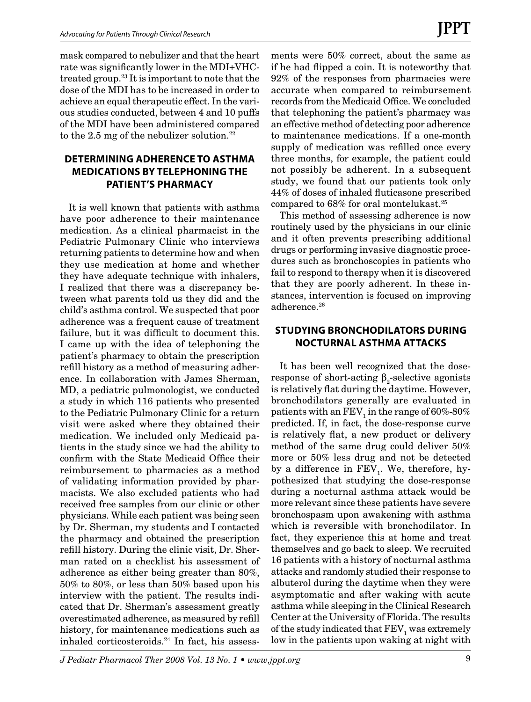mask compared to nebulizer and that the heart rate was significantly lower in the MDI+VHCtreated group.23 It is important to note that the dose of the MDI has to be increased in order to achieve an equal therapeutic effect. In the various studies conducted, between 4 and 10 puffs of the MDI have been administered compared to the 2.5 mg of the nebulizer solution.<sup>22</sup>

# **DETERMINING ADHERENCE TO ASTHMA MEDICATIONS BY TELEPHONING THE PATIENT'S PHARMACY**

It is well known that patients with asthma have poor adherence to their maintenance medication. As a clinical pharmacist in the Pediatric Pulmonary Clinic who interviews returning patients to determine how and when they use medication at home and whether they have adequate technique with inhalers, I realized that there was a discrepancy between what parents told us they did and the child's asthma control. We suspected that poor adherence was a frequent cause of treatment failure, but it was difficult to document this. I came up with the idea of telephoning the patient's pharmacy to obtain the prescription refill history as a method of measuring adherence. In collaboration with James Sherman, MD, a pediatric pulmonologist, we conducted a study in which 116 patients who presented to the Pediatric Pulmonary Clinic for a return visit were asked where they obtained their medication. We included only Medicaid patients in the study since we had the ability to confirm with the State Medicaid Office their reimbursement to pharmacies as a method of validating information provided by pharmacists. We also excluded patients who had received free samples from our clinic or other physicians. While each patient was being seen by Dr. Sherman, my students and I contacted the pharmacy and obtained the prescription refill history. During the clinic visit, Dr. Sherman rated on a checklist his assessment of adherence as either being greater than 80%, 50% to 80%, or less than 50% based upon his interview with the patient. The results indicated that Dr. Sherman's assessment greatly overestimated adherence, as measured by refill history, for maintenance medications such as inhaled corticosteroids.24 In fact, his assessments were 50% correct, about the same as if he had flipped a coin. It is noteworthy that 92% of the responses from pharmacies were accurate when compared to reimbursement records from the Medicaid Office. We concluded that telephoning the patient's pharmacy was an effective method of detecting poor adherence to maintenance medications. If a one-month supply of medication was refilled once every three months, for example, the patient could not possibly be adherent. In a subsequent study, we found that our patients took only 44% of doses of inhaled fluticasone prescribed compared to 68% for oral montelukast.25

This method of assessing adherence is now routinely used by the physicians in our clinic and it often prevents prescribing additional drugs or performing invasive diagnostic procedures such as bronchoscopies in patients who fail to respond to therapy when it is discovered that they are poorly adherent. In these instances, intervention is focused on improving adherence.<sup>26</sup>

# **STUDYING BRONCHODILATORS DURING NOCTURNAL ASTHMA ATTACKS**

It has been well recognized that the doseresponse of short-acting  $\beta_2$ -selective agonists is relatively flat during the daytime. However, bronchodilators generally are evaluated in patients with an  $\rm FEV_{1}$  in the range of 60%-80% predicted. If, in fact, the dose-response curve is relatively flat, a new product or delivery method of the same drug could deliver 50% more or 50% less drug and not be detected by a difference in  $\text{FEV}_1$ . We, therefore, hypothesized that studying the dose-response during a nocturnal asthma attack would be more relevant since these patients have severe bronchospasm upon awakening with asthma which is reversible with bronchodilator. In fact, they experience this at home and treat themselves and go back to sleep. We recruited 16 patients with a history of nocturnal asthma attacks and randomly studied their response to albuterol during the daytime when they were asymptomatic and after waking with acute asthma while sleeping in the Clinical Research Center at the University of Florida. The results of the study indicated that  $\operatorname{FEV}_1$  was extremely low in the patients upon waking at night with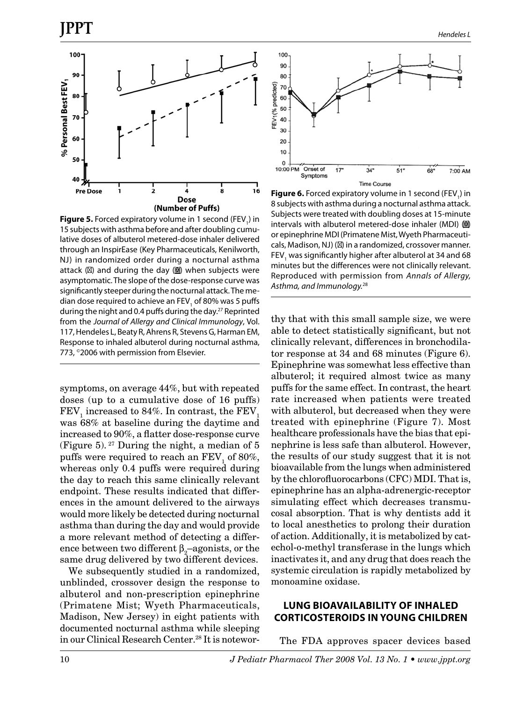

**Figure 5.** Forced expiratory volume in 1 second (FEV<sub>1</sub>) in 15 subjects with asthma before and after doubling cumulative doses of albuterol metered-dose inhaler delivered through an InspirEase (Key Pharmaceuticals, Kenilworth, NJ) in randomized order during a nocturnal asthma attack ( ) and during the day  $\left( \blacksquare \right)$  when subjects were asymptomatic. The slope of the dose-response curve was significantly steeper during the nocturnal attack. The median dose required to achieve an FEV<sub>1</sub> of 80% was 5 puffs during the night and 0.4 puffs during the day.<sup>27</sup> Reprinted from the *Journal of Allergy and Clinical Immunology*, Vol. 117, Hendeles L, Beaty R, Ahrens R, Stevens G, Harman EM, Response to inhaled albuterol during nocturnal asthma, 773, ©2006 with permission from Elsevier.

symptoms, on average 44%, but with repeated doses (up to a cumulative dose of 16 puffs)  ${\rm FEV}_1$  increased to 84%. In contrast, the  ${\rm FEV}_1$ was 68% at baseline during the daytime and increased to 90%, a flatter dose-response curve (Figure 5).  $27$  During the night, a median of 5 puffs were required to reach an  $\text{FEV}_1$  of 80%, whereas only 0.4 puffs were required during the day to reach this same clinically relevant endpoint. These results indicated that differences in the amount delivered to the airways would more likely be detected during nocturnal asthma than during the day and would provide a more relevant method of detecting a difference between two different  $\beta_2$ –agonists, or the same drug delivered by two different devices.

We subsequently studied in a randomized, unblinded, crossover design the response to albuterol and non-prescription epinephrine (Primatene Mist; Wyeth Pharmaceuticals, Madison, New Jersey) in eight patients with documented nocturnal asthma while sleeping in our Clinical Research Center.28 It is notewor-



**Figure 6.** Forced expiratory volume in 1 second (FEV<sub>1</sub>) in 8 subjects with asthma during a nocturnal asthma attack. Subjects were treated with doubling doses at 15-minute intervals with albuterol metered-dose inhaler (MDI)  $\Box$ or epinephrine MDI (Primatene Mist, Wyeth Pharmaceuticals, Madison, NJ) ( ) in a randomized, crossover manner. FEV<sub>1</sub> was significantly higher after albuterol at 34 and 68 minutes but the differences were not clinically relevant. Reproduced with permission from *Annals of Allergy, Asthma, and Immunology.*<sup>28</sup>

thy that with this small sample size, we were able to detect statistically significant, but not clinically relevant, differences in bronchodilator response at 34 and 68 minutes (Figure 6). Epinephrine was somewhat less effective than albuterol; it required almost twice as many puffs for the same effect. In contrast, the heart rate increased when patients were treated with albuterol, but decreased when they were treated with epinephrine (Figure 7). Most healthcare professionals have the bias that epinephrine is less safe than albuterol. However, the results of our study suggest that it is not bioavailable from the lungs when administered by the chlorofluorocarbons (CFC) MDI. That is, epinephrine has an alpha-adrenergic-receptor simulating effect which decreases transmucosal absorption. That is why dentists add it to local anesthetics to prolong their duration of action. Additionally, it is metabolized by catechol-o-methyl transferase in the lungs which inactivates it, and any drug that does reach the systemic circulation is rapidly metabolized by monoamine oxidase.

#### **LUNG BIOAVAILABILITY OF INHALED CORTICOSTEROIDS IN YOUNG CHILDREN**

The FDA approves spacer devices based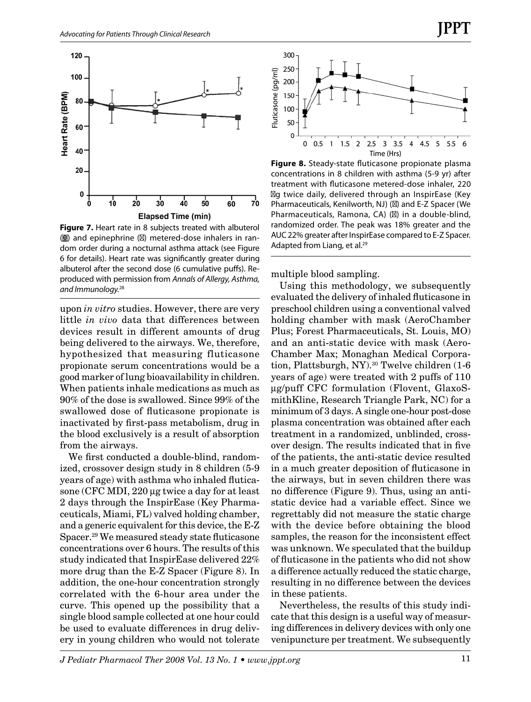

**Figure 7.** Heart rate in 8 subjects treated with albuterol  $\Box$ ) and epinephrine ( ) metered-dose inhalers in random order during a nocturnal asthma attack (see Figure 6 for details). Heart rate was significantly greater during albuterol after the second dose (6 cumulative puffs). Reproduced with permission from *Annals of Allergy, Asthma, and Immunology.*<sup>28</sup>

upon *in vitro* studies. However, there are very little *in vivo* data that differences between devices result in different amounts of drug being delivered to the airways. We, therefore, hypothesized that measuring fluticasone propionate serum concentrations would be a good marker of lung bioavailability in children. When patients inhale medications as much as 90% of the dose is swallowed. Since 99% of the swallowed dose of fluticasone propionate is inactivated by first-pass metabolism, drug in the blood exclusively is a result of absorption from the airways.

We first conducted a double-blind, randomized, crossover design study in 8 children (5-9 years of age) with asthma who inhaled fluticasone (CFC MDI, 220 µg twice a day for at least 2 days through the InspirEase (Key Pharmaceuticals, Miami, FL) valved holding chamber, and a generic equivalent for this device, the E-Z Spacer.29 We measured steady state fluticasone concentrations over 6 hours. The results of this study indicated that InspirEase delivered 22% more drug than the E-Z Spacer (Figure 8). In addition, the one-hour concentration strongly correlated with the 6-hour area under the curve. This opened up the possibility that a single blood sample collected at one hour could be used to evaluate differences in drug delivery in young children who would not tolerate



**Figure 8.** Steady-state fluticasone propionate plasma concentrations in 8 children with asthma (5-9 yr) after treatment with fluticasone metered-dose inhaler, 220 mg twice daily, delivered through an InspirEase (Key Pharmaceuticals, Kenilworth, NJ) ( ) and E-Z Spacer (We Pharmaceuticals, Ramona, CA) ( ) in a double-blind, randomized order. The peak was 18% greater and the AUC 22% greater after InspirEase compared to E-Z Spacer. Adapted from Liang, et al.<sup>29</sup>

multiple blood sampling.

Using this methodology, we subsequently evaluated the delivery of inhaled fluticasone in preschool children using a conventional valved holding chamber with mask (AeroChamber Plus; Forest Pharmaceuticals, St. Louis, MO) and an anti-static device with mask (Aero-Chamber Max; Monaghan Medical Corporation, Plattsburgh, NY).<sup>30</sup> Twelve children (1-6 years of age) were treated with 2 puffs of 110 µg/puff CFC formulation (Flovent, GlaxoSmithKline, Research Triangle Park, NC) for a minimum of 3 days. A single one-hour post-dose plasma concentration was obtained after each treatment in a randomized, unblinded, crossover design. The results indicated that in five of the patients, the anti-static device resulted in a much greater deposition of fluticasone in the airways, but in seven children there was no difference (Figure 9). Thus, using an antistatic device had a variable effect. Since we regrettably did not measure the static charge with the device before obtaining the blood samples, the reason for the inconsistent effect was unknown. We speculated that the buildup of fluticasone in the patients who did not show a difference actually reduced the static charge, resulting in no difference between the devices in these patients.

Nevertheless, the results of this study indicate that this design is a useful way of measuring differences in delivery devices with only one venipuncture per treatment. We subsequently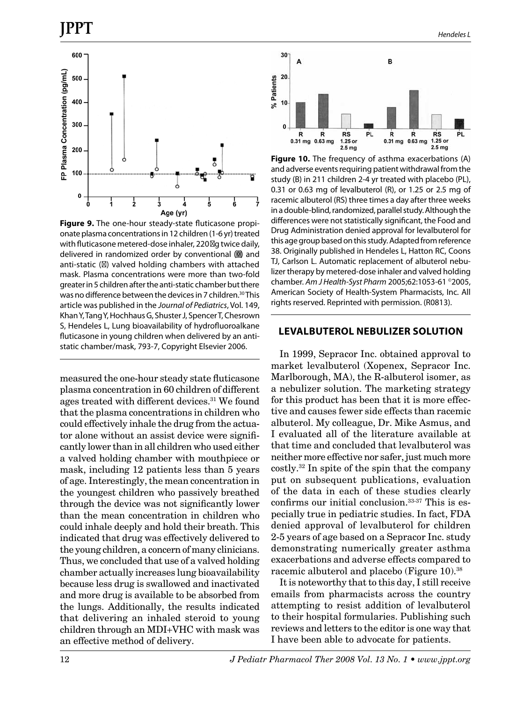

**Figure 9.** The one-hour steady-state fluticasone propionate plasma concentrations in 12 children (1-6 yr) treated with fluticasone metered-dose inhaler, 220 \g twice daily, delivered in randomized order by conventional (a) and anti-static ( ) valved holding chambers with attached mask. Plasma concentrations were more than two-fold greater in 5 children after the anti-static chamber but there was no difference between the devices in 7 children.<sup>30</sup> This article was published in the *Journal of Pediatrics*, Vol. 149, Khan Y, Tang Y, Hochhaus G, Shuster J, Spencer T, Chesrown S, Hendeles L, Lung bioavailability of hydrofluoroalkane fluticasone in young children when delivered by an antistatic chamber/mask, 793-7, Copyright Elsevier 2006.

measured the one-hour steady state fluticasone plasma concentration in 60 children of different ages treated with different devices.<sup>31</sup> We found that the plasma concentrations in children who could effectively inhale the drug from the actuator alone without an assist device were significantly lower than in all children who used either a valved holding chamber with mouthpiece or mask, including 12 patients less than 5 years of age. Interestingly, the mean concentration in the youngest children who passively breathed through the device was not significantly lower than the mean concentration in children who could inhale deeply and hold their breath. This indicated that drug was effectively delivered to the young children, a concern of many clinicians. Thus, we concluded that use of a valved holding chamber actually increases lung bioavailability because less drug is swallowed and inactivated and more drug is available to be absorbed from the lungs. Additionally, the results indicated that delivering an inhaled steroid to young children through an MDI+VHC with mask was an effective method of delivery.



**Figure 10.** The frequency of asthma exacerbations (A) and adverse events requiring patient withdrawal from the study (B) in 211 children 2-4 yr treated with placebo (PL), 0.31 or 0.63 mg of levalbuterol (R), or 1.25 or 2.5 mg of racemic albuterol (RS) three times a day after three weeks in a double-blind, randomized, parallel study. Although the differences were not statistically significant, the Food and Drug Administration denied approval for levalbuterol for this age group based on this study. Adapted from reference 38. Originally published in Hendeles L, Hatton RC, Coons TJ, Carlson L. Automatic replacement of albuterol nebulizer therapy by metered-dose inhaler and valved holding chamber. *Am J Health-Syst Pharm* 2005;62:1053-61 ©2005, American Society of Health-System Pharmacists, Inc. All rights reserved. Reprinted with permission. (R0813).

#### **LEVALBUTEROL NEBULIZER SOLUTION**

In 1999, Sepracor Inc. obtained approval to market levalbuterol (Xopenex, Sepracor Inc. Marlborough, MA), the R-albuterol isomer, as a nebulizer solution. The marketing strategy for this product has been that it is more effective and causes fewer side effects than racemic albuterol. My colleague, Dr. Mike Asmus, and I evaluated all of the literature available at that time and concluded that levalbuterol was neither more effective nor safer, just much more costly.32 In spite of the spin that the company put on subsequent publications, evaluation of the data in each of these studies clearly confirms our initial conclusion.33-37 This is especially true in pediatric studies. In fact, FDA denied approval of levalbuterol for children 2-5 years of age based on a Sepracor Inc. study demonstrating numerically greater asthma exacerbations and adverse effects compared to racemic albuterol and placebo (Figure 10).<sup>38</sup>

It is noteworthy that to this day, I still receive emails from pharmacists across the country attempting to resist addition of levalbuterol to their hospital formularies. Publishing such reviews and letters to the editor is one way that I have been able to advocate for patients.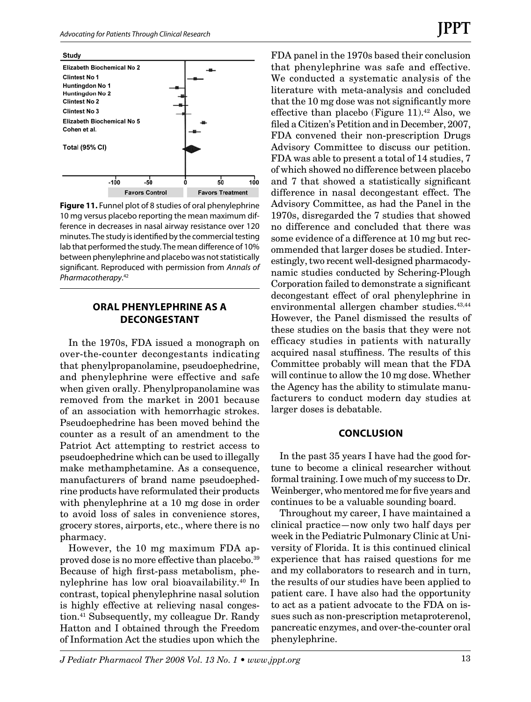

**Figure 11.** Funnel plot of 8 studies of oral phenylephrine 10 mg versus placebo reporting the mean maximum difference in decreases in nasal airway resistance over 120 minutes. The study is identified by the commercial testing lab that performed the study. The mean difference of 10% between phenylephrine and placebo was not statistically significant. Reproduced with permission from *Annals of Pharmacotherapy*. 42

#### **ORAL PHENYLEPHRINE AS A DECONGESTANT**

In the 1970s, FDA issued a monograph on over-the-counter decongestants indicating that phenylpropanolamine, pseudoephedrine, and phenylephrine were effective and safe when given orally. Phenylpropanolamine was removed from the market in 2001 because of an association with hemorrhagic strokes. Pseudoephedrine has been moved behind the counter as a result of an amendment to the Patriot Act attempting to restrict access to pseudoephedrine which can be used to illegally make methamphetamine. As a consequence, manufacturers of brand name pseudoephedrine products have reformulated their products with phenylephrine at a 10 mg dose in order to avoid loss of sales in convenience stores, grocery stores, airports, etc., where there is no pharmacy.

However, the 10 mg maximum FDA approved dose is no more effective than placebo.39 Because of high first-pass metabolism, phenylephrine has low oral bioavailability.<sup>40</sup> In contrast, topical phenylephrine nasal solution is highly effective at relieving nasal congestion.41 Subsequently, my colleague Dr. Randy Hatton and I obtained through the Freedom of Information Act the studies upon which the FDA panel in the 1970s based their conclusion that phenylephrine was safe and effective. We conducted a systematic analysis of the literature with meta-analysis and concluded that the 10 mg dose was not significantly more effective than placebo (Figure 11).<sup>42</sup> Also, we filed a Citizen's Petition and in December, 2007, FDA convened their non-prescription Drugs Advisory Committee to discuss our petition. FDA was able to present a total of 14 studies, 7 of which showed no difference between placebo and 7 that showed a statistically significant difference in nasal decongestant effect. The Advisory Committee, as had the Panel in the 1970s, disregarded the 7 studies that showed no difference and concluded that there was some evidence of a difference at 10 mg but recommended that larger doses be studied. Interestingly, two recent well-designed pharmacodynamic studies conducted by Schering-Plough Corporation failed to demonstrate a significant decongestant effect of oral phenylephrine in environmental allergen chamber studies.<sup>43,44</sup> However, the Panel dismissed the results of these studies on the basis that they were not efficacy studies in patients with naturally acquired nasal stuffiness. The results of this Committee probably will mean that the FDA will continue to allow the 10 mg dose. Whether the Agency has the ability to stimulate manufacturers to conduct modern day studies at larger doses is debatable.

#### **CONCLUSION**

In the past 35 years I have had the good fortune to become a clinical researcher without formal training. I owe much of my success to Dr. Weinberger, who mentored me for five years and continues to be a valuable sounding board.

Throughout my career, I have maintained a clinical practice—now only two half days per week in the Pediatric Pulmonary Clinic at University of Florida. It is this continued clinical experience that has raised questions for me and my collaborators to research and in turn, the results of our studies have been applied to patient care. I have also had the opportunity to act as a patient advocate to the FDA on issues such as non-prescription metaproterenol, pancreatic enzymes, and over-the-counter oral phenylephrine.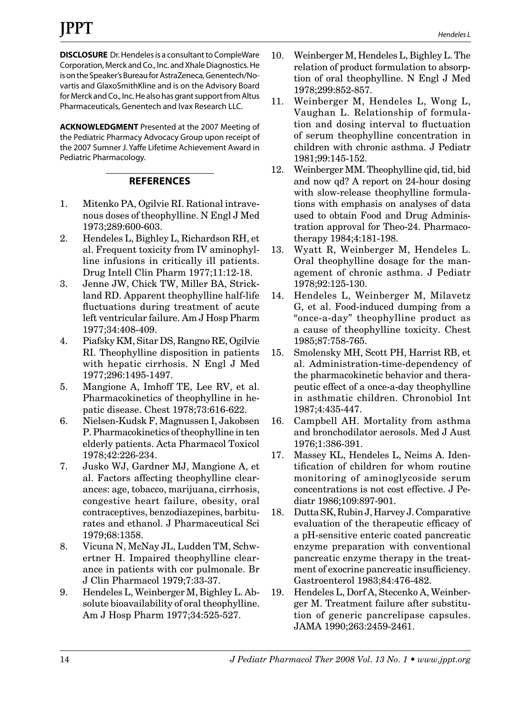**DISCLOSURE** Dr. Hendeles is a consultant to CompleWare Corporation, Merck and Co., Inc. and Xhale Diagnostics. He is on the Speaker's Bureau for AstraZeneca, Genentech/Novartis and GlaxoSmithKline and is on the Advisory Board for Merck and Co., Inc. He also has grant support from Altus Pharmaceuticals, Genentech and Ivax Research LLC.

**ACKNOWLEDGMENT** Presented at the 2007 Meeting of the Pediatric Pharmacy Advocacy Group upon receipt of the 2007 Sumner J. Yaffe Lifetime Achievement Award in Pediatric Pharmacology.

# **REFERENCES**

- 1. Mitenko PA, Ogilvie RI. Rational intravenous doses of theophylline. N Engl J Med 1973;289:600-603.
- 2. Hendeles L, Bighley L, Richardson RH, et al. Frequent toxicity from IV aminophylline infusions in critically ill patients. Drug Intell Clin Pharm 1977;11:12-18.
- 3. Jenne JW, Chick TW, Miller BA, Strickland RD. Apparent theophylline half-life fluctuations during treatment of acute left ventricular failure. Am J Hosp Pharm 1977;34:408-409.
- 4. Piafsky KM, Sitar DS, Rangno RE, Ogilvie RI. Theophylline disposition in patients with hepatic cirrhosis. N Engl J Med 1977;296:1495-1497.
- 5. Mangione A, Imhoff TE, Lee RV, et al. Pharmacokinetics of theophylline in hepatic disease. Chest 1978;73:616-622.
- 6. Nielsen-Kudsk F, Magnussen I, Jakobsen P. Pharmacokinetics of theophylline in ten elderly patients. Acta Pharmacol Toxicol 1978;42:226-234.
- 7. Jusko WJ, Gardner MJ, Mangione A, et al. Factors affecting theophylline clearances: age, tobacco, marijuana, cirrhosis, congestive heart failure, obesity, oral contraceptives, benzodiazepines, barbiturates and ethanol. J Pharmaceutical Sci 1979;68:1358.
- 8. Vicuna N, McNay JL, Ludden TM, Schwertner H. Impaired theophylline clearance in patients with cor pulmonale. Br J Clin Pharmacol 1979;7:33-37.
- 9. Hendeles L, Weinberger M, Bighley L. Absolute bioavailability of oral theophylline. Am J Hosp Pharm 1977;34:525-527.
- 10. Weinberger M, Hendeles L, Bighley L. The relation of product formulation to absorption of oral theophylline. N Engl J Med 1978;299:852-857.
- 11. Weinberger M, Hendeles L, Wong L, Vaughan L. Relationship of formulation and dosing interval to fluctuation of serum theophylline concentration in children with chronic asthma. J Pediatr 1981;99:145-152.
- 12. Weinberger MM. Theophylline qid, tid, bid and now qd? A report on 24-hour dosing with slow-release theophylline formulations with emphasis on analyses of data used to obtain Food and Drug Administration approval for Theo-24. Pharmacotherapy 1984;4:181-198.
- 13. Wyatt R, Weinberger M, Hendeles L. Oral theophylline dosage for the management of chronic asthma. J Pediatr 1978;92:125-130.
- 14. Hendeles L, Weinberger M, Milavetz G, et al. Food-induced dumping from a "once-a-day" theophylline product as a cause of theophylline toxicity. Chest 1985;87:758-765.
- 15. Smolensky MH, Scott PH, Harrist RB, et al. Administration-time-dependency of the pharmacokinetic behavior and therapeutic effect of a once-a-day theophylline in asthmatic children. Chronobiol Int 1987;4:435-447.
- 16. Campbell AH. Mortality from asthma and bronchodilator aerosols. Med J Aust 1976;1:386-391.
- 17. Massey KL, Hendeles L, Neims A. Identification of children for whom routine monitoring of aminoglycoside serum concentrations is not cost effective. J Pediatr 1986;109:897-901.
- 18. Dutta SK, Rubin J, Harvey J. Comparative evaluation of the therapeutic efficacy of a pH-sensitive enteric coated pancreatic enzyme preparation with conventional pancreatic enzyme therapy in the treatment of exocrine pancreatic insufficiency. Gastroenterol 1983;84:476-482.
- 19. Hendeles L, Dorf A, Stecenko A, Weinberger M. Treatment failure after substitution of generic pancrelipase capsules. JAMA 1990;263:2459-2461.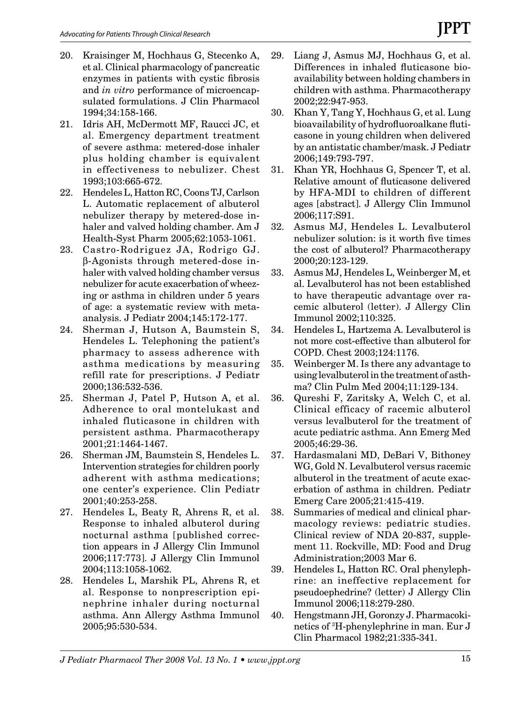- 20. Kraisinger M, Hochhaus G, Stecenko A, et al. Clinical pharmacology of pancreatic enzymes in patients with cystic fibrosis and *in vitro* performance of microencapsulated formulations. J Clin Pharmacol 1994;34:158-166.
- 21. Idris AH, McDermott MF, Raucci JC, et al. Emergency department treatment of severe asthma: metered-dose inhaler plus holding chamber is equivalent in effectiveness to nebulizer. Chest 1993;103:665-672.
- 22. Hendeles L, Hatton RC, Coons TJ, Carlson L. Automatic replacement of albuterol nebulizer therapy by metered-dose inhaler and valved holding chamber. Am J Health-Syst Pharm 2005;62:1053-1061.
- 23. Castro-Rodriguez JA, Rodrigo GJ. β-Agonists through metered-dose inhaler with valved holding chamber versus nebulizer for acute exacerbation of wheezing or asthma in children under 5 years of age: a systematic review with metaanalysis. J Pediatr 2004;145:172-177.
- 24. Sherman J, Hutson A, Baumstein S, Hendeles L. Telephoning the patient's pharmacy to assess adherence with asthma medications by measuring refill rate for prescriptions. J Pediatr 2000;136:532-536.
- 25. Sherman J, Patel P, Hutson A, et al. Adherence to oral montelukast and inhaled fluticasone in children with persistent asthma. Pharmacotherapy 2001;21:1464-1467.
- 26. Sherman JM, Baumstein S, Hendeles L. Intervention strategies for children poorly adherent with asthma medications; one center's experience. Clin Pediatr 2001;40:253-258.
- 27. Hendeles L, Beaty R, Ahrens R, et al. Response to inhaled albuterol during nocturnal asthma [published correction appears in J Allergy Clin Immunol 2006;117:773]. J Allergy Clin Immunol 2004;113:1058-1062.
- 28. Hendeles L, Marshik PL, Ahrens R, et al. Response to nonprescription epinephrine inhaler during nocturnal asthma. Ann Allergy Asthma Immunol 2005;95:530-534.
- 29. Liang J, Asmus MJ, Hochhaus G, et al. Differences in inhaled fluticasone bioavailability between holding chambers in children with asthma. Pharmacotherapy 2002;22:947-953.
- 30. Khan Y, Tang Y, Hochhaus G, et al. Lung bioavailability of hydrofluoroalkane fluticasone in young children when delivered by an antistatic chamber/mask. J Pediatr 2006;149:793-797.
- 31. Khan YR, Hochhaus G, Spencer T, et al. Relative amount of fluticasone delivered by HFA-MDI to children of different ages [abstract]. J Allergy Clin Immunol 2006;117:S91.
- 32. Asmus MJ, Hendeles L. Levalbuterol nebulizer solution: is it worth five times the cost of albuterol? Pharmacotherapy 2000;20:123-129.
- 33. Asmus MJ, Hendeles L, Weinberger M, et al. Levalbuterol has not been established to have therapeutic advantage over racemic albuterol (letter). J Allergy Clin Immunol 2002;110:325.
- 34. Hendeles L, Hartzema A. Levalbuterol is not more cost-effective than albuterol for COPD. Chest 2003;124:1176.
- 35. Weinberger M. Is there any advantage to using levalbuterol in the treatment of asthma? Clin Pulm Med 2004;11:129-134.
- 36. Qureshi F, Zaritsky A, Welch C, et al. Clinical efficacy of racemic albuterol versus levalbuterol for the treatment of acute pediatric asthma. Ann Emerg Med 2005;46:29-36.
- 37. Hardasmalani MD, DeBari V, Bithoney WG, Gold N. Levalbuterol versus racemic albuterol in the treatment of acute exacerbation of asthma in children. Pediatr Emerg Care 2005;21:415-419.
- 38. Summaries of medical and clinical pharmacology reviews: pediatric studies. Clinical review of NDA 20-837, supplement 11. Rockville, MD: Food and Drug Administration;2003 Mar 6.
- 39. Hendeles L, Hatton RC. Oral phenylephrine: an ineffective replacement for pseudoephedrine? (letter) J Allergy Clin Immunol 2006;118:279-280.
- 40. Hengstmann JH, Goronzy J. Pharmacokinetics of 3 H-phenylephrine in man. Eur J Clin Pharmacol 1982;21:335-341.